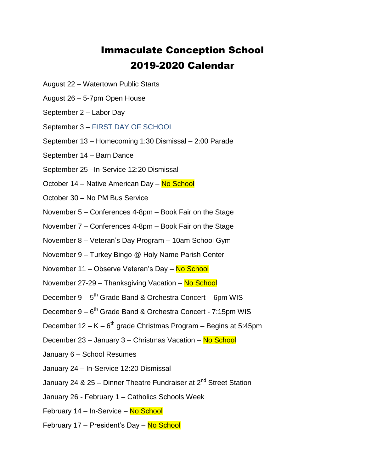## Immaculate Conception School 2019-2020 Calendar

- August 22 Watertown Public Starts
- August 26 5-7pm Open House
- September 2 Labor Day
- September 3 FIRST DAY OF SCHOOL
- September 13 Homecoming 1:30 Dismissal 2:00 Parade
- September 14 Barn Dance
- September 25 –In-Service 12:20 Dismissal
- October 14 Native American Day No School
- October 30 No PM Bus Service
- November 5 Conferences 4-8pm Book Fair on the Stage
- November 7 Conferences 4-8pm Book Fair on the Stage
- November 8 Veteran's Day Program 10am School Gym
- November 9 Turkey Bingo @ Holy Name Parish Center
- November 11 Observe Veteran's Day No School
- November 27-29 Thanksgiving Vacation No School
- December 9 5<sup>th</sup> Grade Band & Orchestra Concert 6pm WIS
- December 9 6<sup>th</sup> Grade Band & Orchestra Concert 7:15pm WIS
- December 12 K  $6<sup>th</sup>$  grade Christmas Program Begins at 5:45pm
- December 23 January 3 Christmas Vacation No School
- January 6 School Resumes
- January 24 In-Service 12:20 Dismissal
- January 24 & 25 Dinner Theatre Fundraiser at  $2^{nd}$  Street Station
- January 26 February 1 Catholics Schools Week
- February 14 In-Service No School
- February 17 President's Day No School